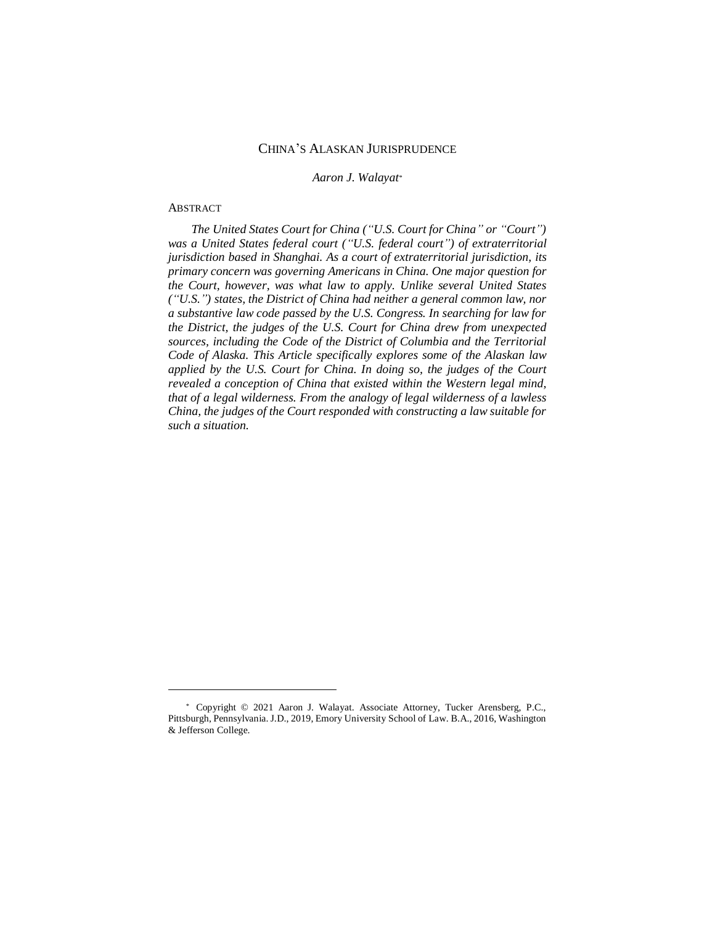# CHINA'S ALASKAN JURISPRUDENCE

*Aaron J. Walayat\**

## ABSTRACT

 $\overline{\phantom{a}}$ 

*The United States Court for China ("U.S. Court for China" or "Court") was a United States federal court ("U.S. federal court") of extraterritorial jurisdiction based in Shanghai. As a court of extraterritorial jurisdiction, its primary concern was governing Americans in China. One major question for the Court, however, was what law to apply. Unlike several United States ("U.S.") states, the District of China had neither a general common law, nor a substantive law code passed by the U.S. Congress. In searching for law for the District, the judges of the U.S. Court for China drew from unexpected sources, including the Code of the District of Columbia and the Territorial Code of Alaska. This Article specifically explores some of the Alaskan law applied by the U.S. Court for China. In doing so, the judges of the Court revealed a conception of China that existed within the Western legal mind, that of a legal wilderness. From the analogy of legal wilderness of a lawless China, the judges of the Court responded with constructing a law suitable for such a situation.*

<sup>\*</sup> Copyright © 2021 Aaron J. Walayat. Associate Attorney, Tucker Arensberg, P.C., Pittsburgh, Pennsylvania. J.D., 2019, Emory University School of Law. B.A., 2016, Washington & Jefferson College.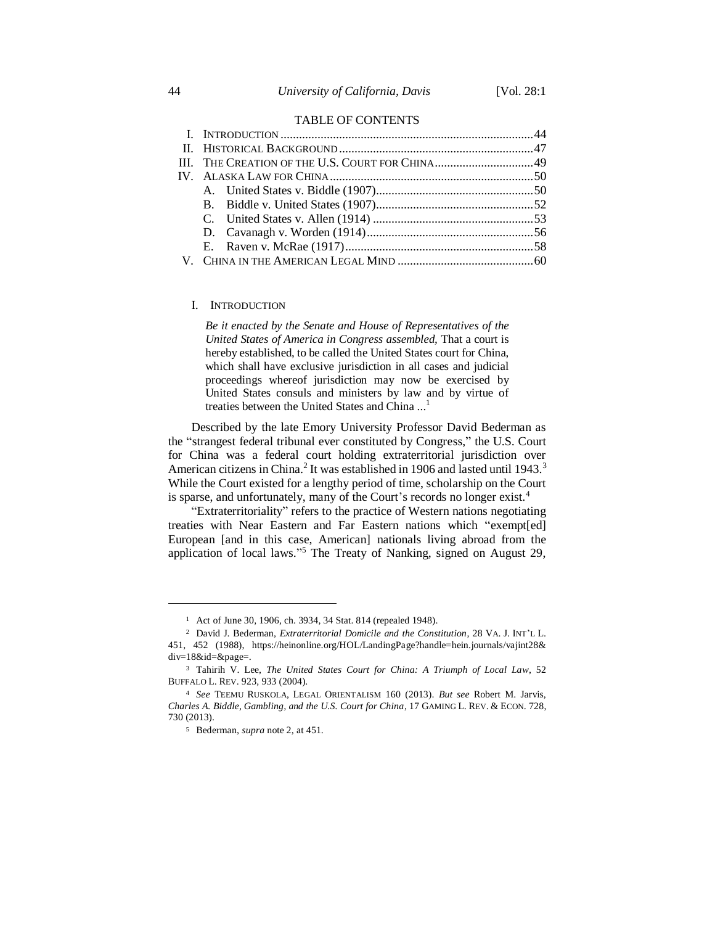### TABLE OF CONTENTS

### I. INTRODUCTION

*Be it enacted by the Senate and House of Representatives of the United States of America in Congress assembled,* That a court is hereby established, to be called the United States court for China, which shall have exclusive jurisdiction in all cases and judicial proceedings whereof jurisdiction may now be exercised by United States consuls and ministers by law and by virtue of treaties between the United States and China ... 1

Described by the late Emory University Professor David Bederman as the "strangest federal tribunal ever constituted by Congress," the U.S. Court for China was a federal court holding extraterritorial jurisdiction over American citizens in China.<sup>2</sup> It was established in 1906 and lasted until 1943.<sup>3</sup> While the Court existed for a lengthy period of time, scholarship on the Court is sparse, and unfortunately, many of the Court's records no longer exist.<sup>4</sup>

"Extraterritoriality" refers to the practice of Western nations negotiating treaties with Near Eastern and Far Eastern nations which "exempt[ed] European [and in this case, American] nationals living abroad from the application of local laws." <sup>5</sup> The Treaty of Nanking, signed on August 29,

<sup>1</sup> Act of June 30, 1906, ch. 3934, 34 Stat. 814 (repealed 1948).

<sup>2</sup> David J. Bederman, *Extraterritorial Domicile and the Constitution*, 28 VA. J. INT'L L. 451, 452 (1988), https://heinonline.org/HOL/LandingPage?handle=hein.journals/vajint28& div=18&id=&page=.

<sup>3</sup> Tahirih V. Lee, *The United States Court for China: A Triumph of Local Law*, 52 BUFFALO L. REV. 923, 933 (2004).

<sup>4</sup> *See* TEEMU RUSKOLA, LEGAL ORIENTALISM 160 (2013). *But see* Robert M. Jarvis, *Charles A. Biddle, Gambling, and the U.S. Court for China*, 17 GAMING L. REV. & ECON. 728, 730 (2013).

<sup>5</sup> Bederman, *supra* note 2, at 451.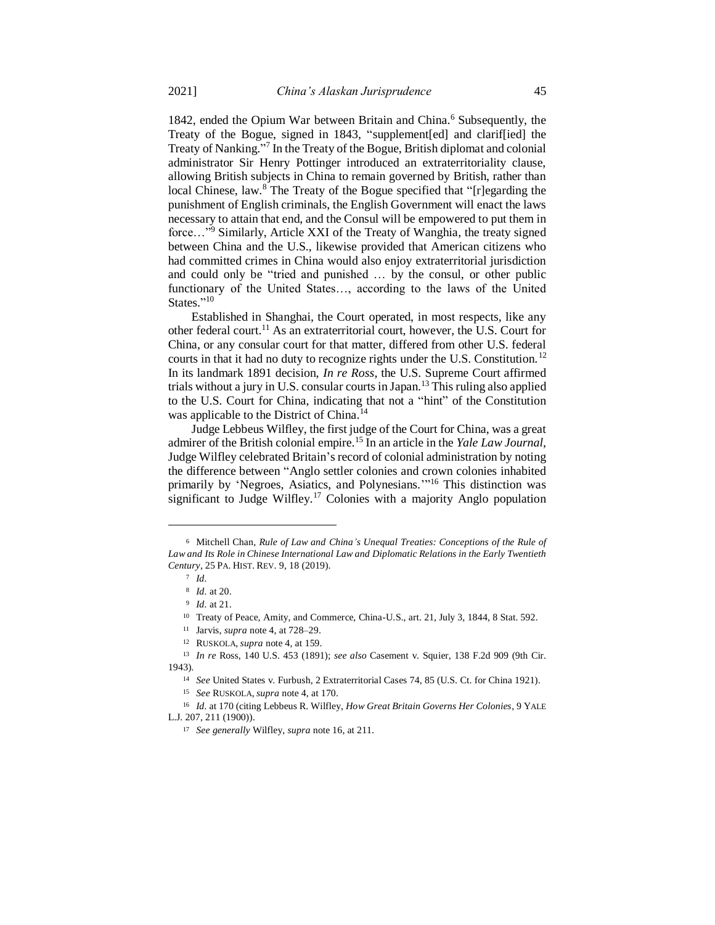1842, ended the Opium War between Britain and China.<sup>6</sup> Subsequently, the Treaty of the Bogue, signed in 1843, "supplement[ed] and clarif[ied] the Treaty of Nanking." 7 In the Treaty of the Bogue, British diplomat and colonial administrator Sir Henry Pottinger introduced an extraterritoriality clause, allowing British subjects in China to remain governed by British, rather than local Chinese, law.<sup>8</sup> The Treaty of the Bogue specified that "[r]egarding the punishment of English criminals, the English Government will enact the laws necessary to attain that end, and the Consul will be empowered to put them in force…" <sup>9</sup> Similarly, Article XXI of the Treaty of Wanghia, the treaty signed between China and the U.S., likewise provided that American citizens who had committed crimes in China would also enjoy extraterritorial jurisdiction and could only be "tried and punished … by the consul, or other public functionary of the United States…, according to the laws of the United States."<sup>10</sup>

Established in Shanghai, the Court operated, in most respects, like any other federal court.<sup>11</sup> As an extraterritorial court, however, the U.S. Court for China, or any consular court for that matter, differed from other U.S. federal courts in that it had no duty to recognize rights under the U.S. Constitution.<sup>12</sup> In its landmark 1891 decision, *In re Ross*, the U.S. Supreme Court affirmed trials without a jury in U.S. consular courts in Japan.<sup>13</sup> This ruling also applied to the U.S. Court for China, indicating that not a "hint" of the Constitution was applicable to the District of China.<sup>14</sup>

Judge Lebbeus Wilfley, the first judge of the Court for China, was a great admirer of the British colonial empire.<sup>15</sup> In an article in the *Yale Law Journal*, Judge Wilfley celebrated Britain's record of colonial administration by noting the difference between "Anglo settler colonies and crown colonies inhabited primarily by 'Negroes, Asiatics, and Polynesians."<sup>16</sup> This distinction was significant to Judge Wilfley.<sup>17</sup> Colonies with a majority Anglo population

 $\overline{a}$ 

<sup>6</sup> Mitchell Chan, *Rule of Law and China's Unequal Treaties: Conceptions of the Rule of Law and Its Role in Chinese International Law and Diplomatic Relations in the Early Twentieth Century*, 25 PA. HIST. REV. 9, 18 (2019).

<sup>7</sup> *Id.*

<sup>8</sup> *Id.* at 20.

<sup>9</sup> *Id.* at 21.

<sup>10</sup> Treaty of Peace, Amity, and Commerce, China-U.S., art. 21, July 3, 1844, 8 Stat. 592.

<sup>11</sup> Jarvis, *supra* note 4, at 728–29.

<sup>12</sup> RUSKOLA, *supra* note 4, at 159.

<sup>13</sup> *In re* Ross, 140 U.S. 453 (1891); *see also* Casement v. Squier, 138 F.2d 909 (9th Cir. 1943).

<sup>14</sup> *See* United States v. Furbush, 2 Extraterritorial Cases 74, 85 (U.S. Ct. for China 1921).

<sup>15</sup> *See* RUSKOLA, *supra* note 4, at 170.

<sup>16</sup> *Id.* at 170 (citing Lebbeus R. Wilfley, *How Great Britain Governs Her Colonies*, 9 YALE L.J. 207, 211 (1900)).

<sup>17</sup> *See generally* Wilfley, *supra* note 16, at 211.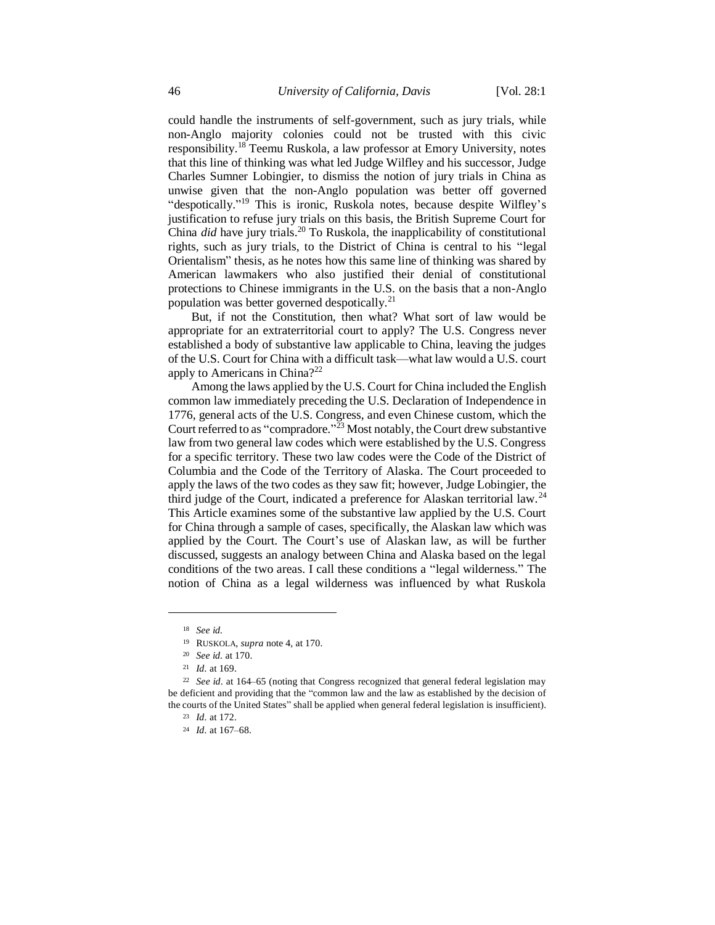could handle the instruments of self-government, such as jury trials, while non-Anglo majority colonies could not be trusted with this civic responsibility.<sup>18</sup> Teemu Ruskola, a law professor at Emory University, notes that this line of thinking was what led Judge Wilfley and his successor, Judge Charles Sumner Lobingier, to dismiss the notion of jury trials in China as unwise given that the non-Anglo population was better off governed "despotically."<sup>19</sup> This is ironic, Ruskola notes, because despite Wilfley's justification to refuse jury trials on this basis, the British Supreme Court for China *did* have jury trials.<sup>20</sup> To Ruskola, the inapplicability of constitutional rights, such as jury trials, to the District of China is central to his "legal Orientalism" thesis, as he notes how this same line of thinking was shared by American lawmakers who also justified their denial of constitutional protections to Chinese immigrants in the U.S. on the basis that a non-Anglo population was better governed despotically.<sup>21</sup>

But, if not the Constitution, then what? What sort of law would be appropriate for an extraterritorial court to apply? The U.S. Congress never established a body of substantive law applicable to China, leaving the judges of the U.S. Court for China with a difficult task—what law would a U.S. court apply to Americans in China?<sup>22</sup>

Among the laws applied by the U.S. Court for China included the English common law immediately preceding the U.S. Declaration of Independence in 1776, general acts of the U.S. Congress, and even Chinese custom, which the Court referred to as "compradore."<sup>23</sup> Most notably, the Court drew substantive law from two general law codes which were established by the U.S. Congress for a specific territory. These two law codes were the Code of the District of Columbia and the Code of the Territory of Alaska. The Court proceeded to apply the laws of the two codes as they saw fit; however, Judge Lobingier, the third judge of the Court, indicated a preference for Alaskan territorial law.<sup>24</sup> This Article examines some of the substantive law applied by the U.S. Court for China through a sample of cases, specifically, the Alaskan law which was applied by the Court. The Court's use of Alaskan law, as will be further discussed, suggests an analogy between China and Alaska based on the legal conditions of the two areas. I call these conditions a "legal wilderness." The notion of China as a legal wilderness was influenced by what Ruskola

<sup>18</sup> *See id.*

<sup>19</sup> RUSKOLA, *supra* note 4, at 170.

<sup>20</sup> *See id.* at 170.

<sup>21</sup> *Id.* at 169.

<sup>22</sup> *See id.* at 164–65 (noting that Congress recognized that general federal legislation may be deficient and providing that the "common law and the law as established by the decision of the courts of the United States" shall be applied when general federal legislation is insufficient).

<sup>23</sup> *Id.* at 172.

<sup>24</sup> *Id.* at 167–68.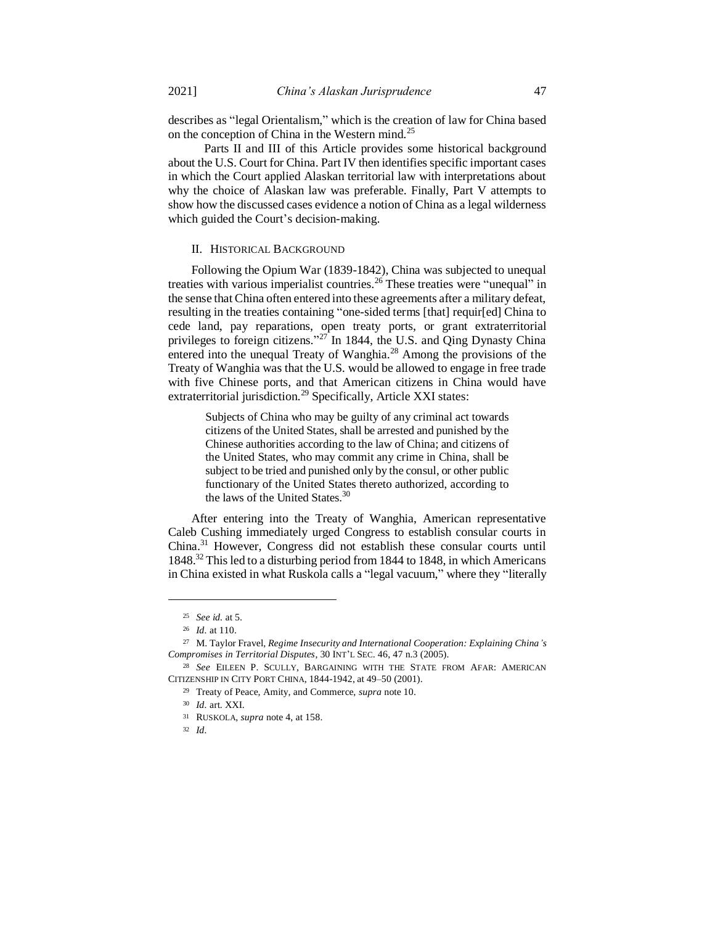describes as "legal Orientalism," which is the creation of law for China based on the conception of China in the Western mind.<sup>25</sup>

Parts II and III of this Article provides some historical background about the U.S. Court for China. Part IV then identifies specific important cases in which the Court applied Alaskan territorial law with interpretations about why the choice of Alaskan law was preferable. Finally, Part V attempts to show how the discussed cases evidence a notion of China as a legal wilderness which guided the Court's decision-making.

## II. HISTORICAL BACKGROUND

Following the Opium War (1839-1842), China was subjected to unequal treaties with various imperialist countries.<sup>26</sup> These treaties were "unequal" in the sense that China often entered into these agreements after a military defeat, resulting in the treaties containing "one-sided terms [that] requir[ed] China to cede land, pay reparations, open treaty ports, or grant extraterritorial privileges to foreign citizens."<sup>27</sup> In 1844, the U.S. and Qing Dynasty China entered into the unequal Treaty of Wanghia.<sup>28</sup> Among the provisions of the Treaty of Wanghia was that the U.S. would be allowed to engage in free trade with five Chinese ports, and that American citizens in China would have extraterritorial jurisdiction.<sup>29</sup> Specifically, Article XXI states:

Subjects of China who may be guilty of any criminal act towards citizens of the United States, shall be arrested and punished by the Chinese authorities according to the law of China; and citizens of the United States, who may commit any crime in China, shall be subject to be tried and punished only by the consul, or other public functionary of the United States thereto authorized, according to the laws of the United States.<sup>30</sup>

After entering into the Treaty of Wanghia, American representative Caleb Cushing immediately urged Congress to establish consular courts in China.<sup>31</sup> However, Congress did not establish these consular courts until 1848.<sup>32</sup> This led to a disturbing period from 1844 to 1848, in which Americans in China existed in what Ruskola calls a "legal vacuum," where they "literally

 $\overline{\phantom{a}}$ 

<sup>32</sup> *Id.*

<sup>25</sup> *See id.* at 5.

<sup>26</sup> *Id.* at 110.

<sup>27</sup> M. Taylor Fravel, *Regime Insecurity and International Cooperation: Explaining China's Compromises in Territorial Disputes*, 30 INT'L SEC. 46, 47 n.3 (2005).

<sup>28</sup> *See* EILEEN P. SCULLY, BARGAINING WITH THE STATE FROM AFAR: AMERICAN CITIZENSHIP IN CITY PORT CHINA, 1844-1942, at 49–50 (2001).

<sup>29</sup> Treaty of Peace, Amity, and Commerce, *supra* note 10.

<sup>30</sup> *Id.* art. XXI.

<sup>31</sup> RUSKOLA, *supra* note 4, at 158.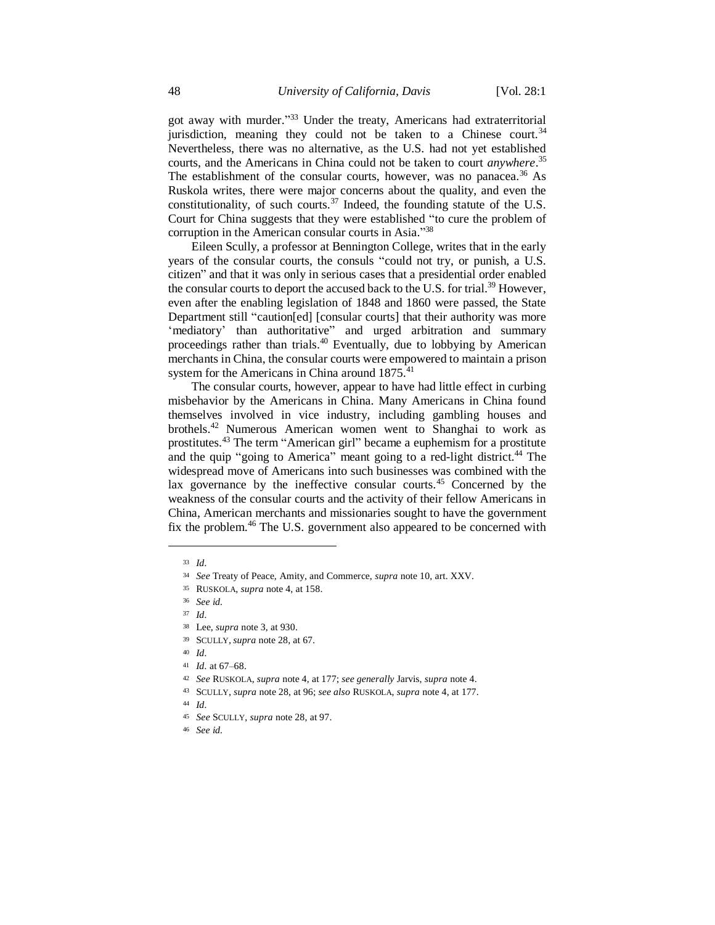got away with murder."<sup>33</sup> Under the treaty, Americans had extraterritorial jurisdiction, meaning they could not be taken to a Chinese court.<sup>34</sup> Nevertheless, there was no alternative, as the U.S. had not yet established courts, and the Americans in China could not be taken to court *anywhere*. 35 The establishment of the consular courts, however, was no panacea.<sup>36</sup> As Ruskola writes, there were major concerns about the quality, and even the constitutionality, of such courts.<sup>37</sup> Indeed, the founding statute of the U.S. Court for China suggests that they were established "to cure the problem of corruption in the American consular courts in Asia."38

Eileen Scully, a professor at Bennington College, writes that in the early years of the consular courts, the consuls "could not try, or punish, a U.S. citizen" and that it was only in serious cases that a presidential order enabled the consular courts to deport the accused back to the U.S. for trial.<sup>39</sup> However, even after the enabling legislation of 1848 and 1860 were passed, the State Department still "caution[ed] [consular courts] that their authority was more 'mediatory' than authoritative" and urged arbitration and summary proceedings rather than trials.<sup>40</sup> Eventually, due to lobbying by American merchants in China, the consular courts were empowered to maintain a prison system for the Americans in China around 1875.<sup>41</sup>

The consular courts, however, appear to have had little effect in curbing misbehavior by the Americans in China. Many Americans in China found themselves involved in vice industry, including gambling houses and brothels.<sup>42</sup> Numerous American women went to Shanghai to work as prostitutes.<sup>43</sup> The term "American girl" became a euphemism for a prostitute and the quip "going to America" meant going to a red-light district.<sup>44</sup> The widespread move of Americans into such businesses was combined with the lax governance by the ineffective consular courts.<sup>45</sup> Concerned by the weakness of the consular courts and the activity of their fellow Americans in China, American merchants and missionaries sought to have the government fix the problem.<sup>46</sup> The U.S. government also appeared to be concerned with

 $\overline{a}$ 

<sup>46</sup> *See id.*

<sup>33</sup> *Id.*

<sup>34</sup> *See* Treaty of Peace, Amity, and Commerce, *supra* note 10, art. XXV.

<sup>35</sup> RUSKOLA, *supra* note 4, at 158.

<sup>36</sup> *See id.*

<sup>37</sup> *Id.*

<sup>38</sup> Lee, *supra* note 3, at 930.

<sup>39</sup> SCULLY, *supra* note 28, at 67.

<sup>40</sup> *Id.*

<sup>41</sup> *Id.* at 67–68.

<sup>42</sup> *See* RUSKOLA, *supra* note 4, at 177; *see generally* Jarvis, *supra* note 4.

<sup>43</sup> SCULLY, *supra* note 28, at 96; *see also* RUSKOLA, *supra* note 4, at 177.

<sup>44</sup> *Id.*

<sup>45</sup> *See* SCULLY, *supra* note 28, at 97.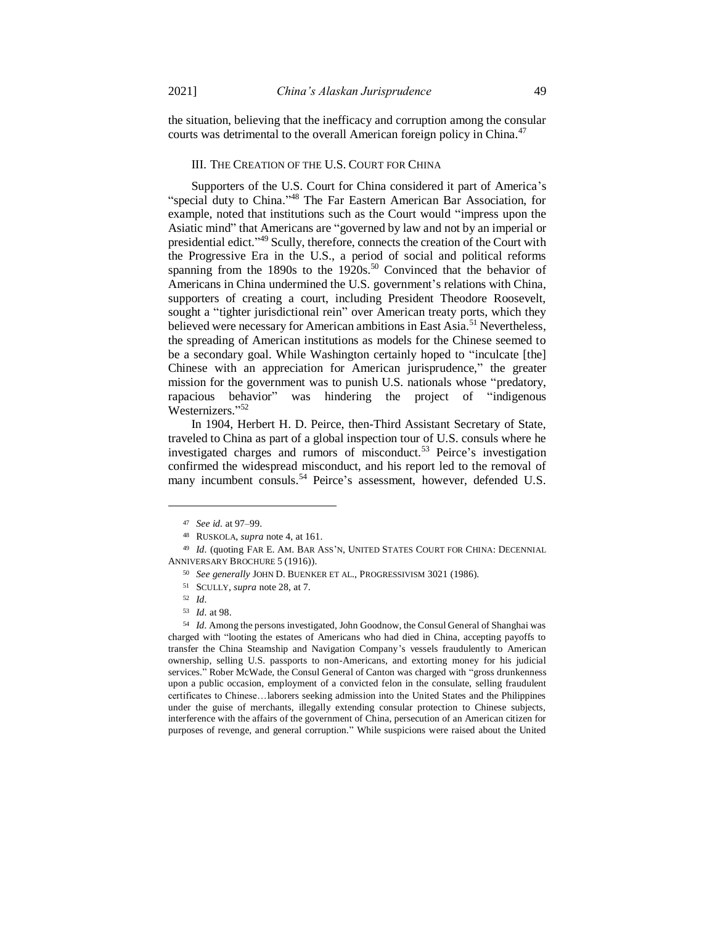the situation, believing that the inefficacy and corruption among the consular courts was detrimental to the overall American foreign policy in China.<sup>47</sup>

### III. THE CREATION OF THE U.S. COURT FOR CHINA

Supporters of the U.S. Court for China considered it part of America's "special duty to China."<sup>48</sup> The Far Eastern American Bar Association, for example, noted that institutions such as the Court would "impress upon the Asiatic mind" that Americans are "governed by law and not by an imperial or presidential edict."<sup>49</sup> Scully, therefore, connects the creation of the Court with the Progressive Era in the U.S., a period of social and political reforms spanning from the 1890s to the  $1920s$ .<sup>50</sup> Convinced that the behavior of Americans in China undermined the U.S. government's relations with China, supporters of creating a court, including President Theodore Roosevelt, sought a "tighter jurisdictional rein" over American treaty ports, which they believed were necessary for American ambitions in East Asia.<sup>51</sup> Nevertheless, the spreading of American institutions as models for the Chinese seemed to be a secondary goal. While Washington certainly hoped to "inculcate [the] Chinese with an appreciation for American jurisprudence," the greater mission for the government was to punish U.S. nationals whose "predatory, rapacious behavior" was hindering the project of "indigenous Westernizers." 52

In 1904, Herbert H. D. Peirce, then-Third Assistant Secretary of State, traveled to China as part of a global inspection tour of U.S. consuls where he investigated charges and rumors of misconduct.<sup>53</sup> Peirce's investigation confirmed the widespread misconduct, and his report led to the removal of many incumbent consuls.<sup>54</sup> Peirce's assessment, however, defended U.S.

 $\overline{\phantom{a}}$ 

<sup>54</sup> *Id.* Among the persons investigated, John Goodnow, the Consul General of Shanghai was charged with "looting the estates of Americans who had died in China, accepting payoffs to transfer the China Steamship and Navigation Company's vessels fraudulently to American ownership, selling U.S. passports to non-Americans, and extorting money for his judicial services." Rober McWade, the Consul General of Canton was charged with "gross drunkenness upon a public occasion, employment of a convicted felon in the consulate, selling fraudulent certificates to Chinese…laborers seeking admission into the United States and the Philippines under the guise of merchants, illegally extending consular protection to Chinese subjects, interference with the affairs of the government of China, persecution of an American citizen for purposes of revenge, and general corruption." While suspicions were raised about the United

<sup>47</sup> *See id.* at 97–99.

<sup>48</sup> RUSKOLA, *supra* note 4, at 161.

<sup>49</sup> *Id.* (quoting FAR E. AM. BAR ASS'N, UNITED STATES COURT FOR CHINA: DECENNIAL ANNIVERSARY BROCHURE 5 (1916)).

<sup>50</sup> *See generally* JOHN D. BUENKER ET AL., PROGRESSIVISM 3021 (1986).

<sup>51</sup> SCULLY, *supra* note 28, at 7.

<sup>52</sup> *Id.*

<sup>53</sup> *Id.* at 98.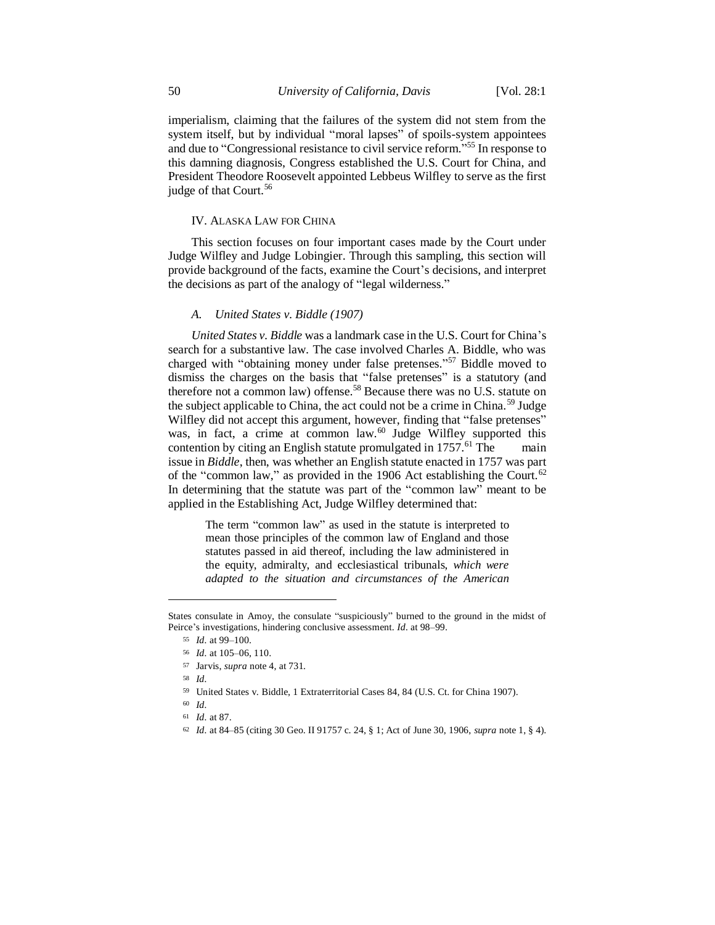imperialism, claiming that the failures of the system did not stem from the system itself, but by individual "moral lapses" of spoils-system appointees and due to "Congressional resistance to civil service reform." <sup>55</sup> In response to this damning diagnosis, Congress established the U.S. Court for China, and President Theodore Roosevelt appointed Lebbeus Wilfley to serve as the first judge of that Court.<sup>56</sup>

### IV. ALASKA LAW FOR CHINA

This section focuses on four important cases made by the Court under Judge Wilfley and Judge Lobingier. Through this sampling, this section will provide background of the facts, examine the Court's decisions, and interpret the decisions as part of the analogy of "legal wilderness."

## *A. United States v. Biddle (1907)*

*United States v. Biddle* was a landmark case in the U.S. Court for China's search for a substantive law. The case involved Charles A. Biddle, who was charged with "obtaining money under false pretenses." <sup>57</sup> Biddle moved to dismiss the charges on the basis that "false pretenses" is a statutory (and therefore not a common law) offense.<sup>58</sup> Because there was no U.S. statute on the subject applicable to China, the act could not be a crime in China.<sup>59</sup> Judge Wilfley did not accept this argument, however, finding that "false pretenses" was, in fact, a crime at common law.<sup>60</sup> Judge Wilfley supported this contention by citing an English statute promulgated in  $1757<sup>61</sup>$  The main issue in *Biddle*, then, was whether an English statute enacted in 1757 was part of the "common law," as provided in the 1906 Act establishing the Court.<sup>62</sup> In determining that the statute was part of the "common law" meant to be applied in the Establishing Act, Judge Wilfley determined that:

The term "common law" as used in the statute is interpreted to mean those principles of the common law of England and those statutes passed in aid thereof, including the law administered in the equity, admiralty, and ecclesiastical tribunals, *which were adapted to the situation and circumstances of the American* 

States consulate in Amoy, the consulate "suspiciously" burned to the ground in the midst of Peirce's investigations, hindering conclusive assessment. *Id.* at 98–99.

<sup>55</sup> *Id.* at 99–100.

<sup>56</sup> *Id.* at 105–06, 110.

<sup>57</sup> Jarvis, *supra* note 4, at 731.

<sup>58</sup> *Id.*

<sup>59</sup> United States v. Biddle, 1 Extraterritorial Cases 84, 84 (U.S. Ct. for China 1907).

<sup>60</sup> *Id.*

<sup>61</sup> *Id.* at 87.

<sup>62</sup> *Id.* at 84–85 (citing 30 Geo. II 91757 c. 24, § 1; Act of June 30, 1906, *supra* note 1, § 4).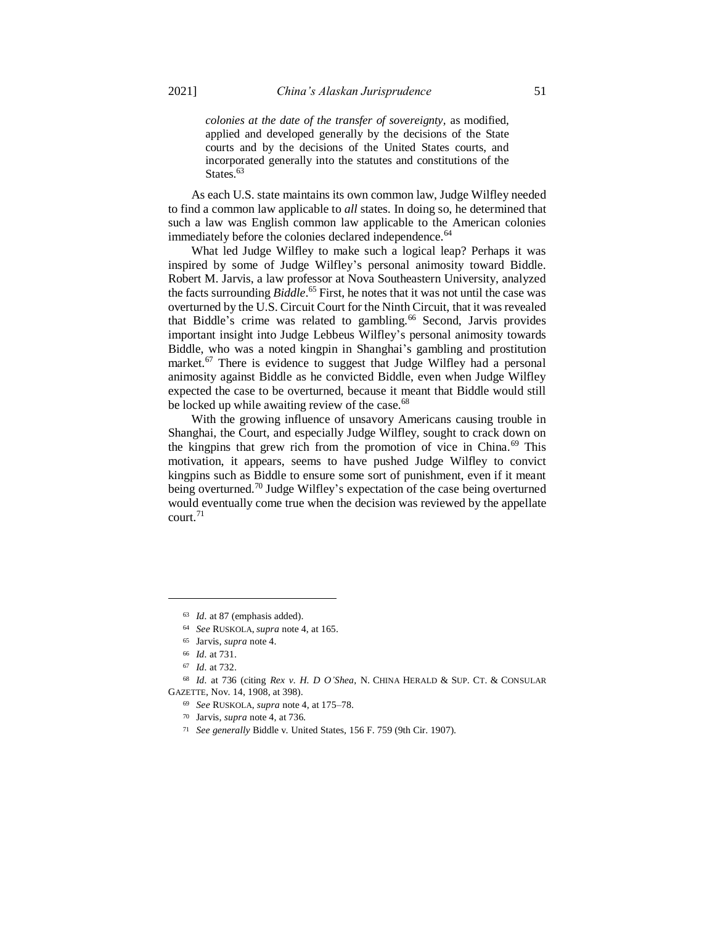*colonies at the date of the transfer of sovereignty,* as modified, applied and developed generally by the decisions of the State courts and by the decisions of the United States courts, and incorporated generally into the statutes and constitutions of the States.<sup>63</sup>

As each U.S. state maintains its own common law, Judge Wilfley needed to find a common law applicable to *all* states. In doing so, he determined that such a law was English common law applicable to the American colonies immediately before the colonies declared independence.<sup>64</sup>

What led Judge Wilfley to make such a logical leap? Perhaps it was inspired by some of Judge Wilfley's personal animosity toward Biddle. Robert M. Jarvis, a law professor at Nova Southeastern University, analyzed the facts surrounding *Biddle*. <sup>65</sup> First, he notes that it was not until the case was overturned by the U.S. Circuit Court for the Ninth Circuit, that it was revealed that Biddle's crime was related to gambling.<sup>66</sup> Second, Jarvis provides important insight into Judge Lebbeus Wilfley's personal animosity towards Biddle, who was a noted kingpin in Shanghai's gambling and prostitution market.<sup>67</sup> There is evidence to suggest that Judge Wilfley had a personal animosity against Biddle as he convicted Biddle, even when Judge Wilfley expected the case to be overturned, because it meant that Biddle would still be locked up while awaiting review of the case.<sup>68</sup>

With the growing influence of unsavory Americans causing trouble in Shanghai, the Court, and especially Judge Wilfley, sought to crack down on the kingpins that grew rich from the promotion of vice in China.<sup>69</sup> This motivation, it appears, seems to have pushed Judge Wilfley to convict kingpins such as Biddle to ensure some sort of punishment, even if it meant being overturned.<sup>70</sup> Judge Wilfley's expectation of the case being overturned would eventually come true when the decision was reviewed by the appellate court.<sup>71</sup>

<sup>63</sup> *Id.* at 87 (emphasis added).

<sup>64</sup> *See* RUSKOLA, *supra* note 4, at 165.

<sup>65</sup> Jarvis, *supra* note 4.

<sup>66</sup> *Id.* at 731.

<sup>67</sup> *Id.* at 732.

<sup>68</sup> *Id.* at 736 (citing *Rex v. H. D O'Shea*, N. CHINA HERALD & SUP. CT. & CONSULAR GAZETTE, Nov. 14, 1908, at 398).

<sup>69</sup> *See* RUSKOLA, *supra* note 4, at 175–78.

<sup>70</sup> Jarvis, *supra* note 4, at 736.

<sup>71</sup> *See generally* Biddle v. United States, 156 F. 759 (9th Cir. 1907).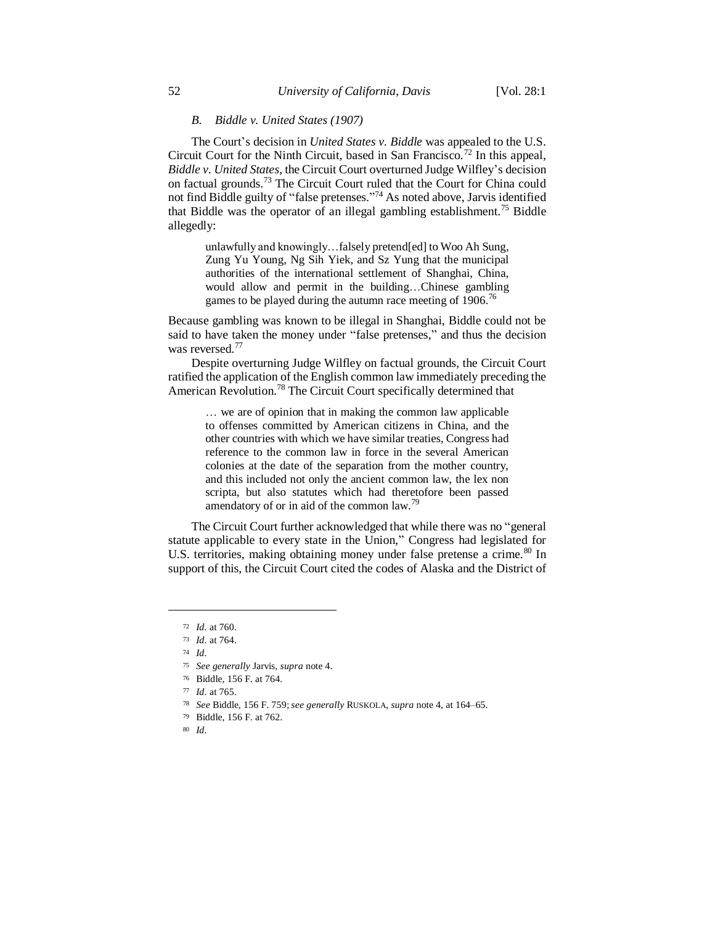### *B. Biddle v. United States (1907)*

The Court's decision in *United States v. Biddle* was appealed to the U.S. Circuit Court for the Ninth Circuit, based in San Francisco.<sup>72</sup> In this appeal, *Biddle v. United States*, the Circuit Court overturned Judge Wilfley's decision on factual grounds.<sup>73</sup> The Circuit Court ruled that the Court for China could not find Biddle guilty of "false pretenses." <sup>74</sup> As noted above, Jarvis identified that Biddle was the operator of an illegal gambling establishment.<sup>75</sup> Biddle allegedly:

unlawfully and knowingly…falsely pretend[ed] to Woo Ah Sung, Zung Yu Young, Ng Sih Yiek, and Sz Yung that the municipal authorities of the international settlement of Shanghai, China, would allow and permit in the building…Chinese gambling games to be played during the autumn race meeting of  $1906$ .<sup>76</sup>

Because gambling was known to be illegal in Shanghai, Biddle could not be said to have taken the money under "false pretenses," and thus the decision was reversed.<sup>77</sup>

Despite overturning Judge Wilfley on factual grounds, the Circuit Court ratified the application of the English common law immediately preceding the American Revolution.<sup>78</sup> The Circuit Court specifically determined that

… we are of opinion that in making the common law applicable to offenses committed by American citizens in China, and the other countries with which we have similar treaties, Congress had reference to the common law in force in the several American colonies at the date of the separation from the mother country, and this included not only the ancient common law, the lex non scripta, but also statutes which had theretofore been passed amendatory of or in aid of the common law.<sup>79</sup>

The Circuit Court further acknowledged that while there was no "general statute applicable to every state in the Union," Congress had legislated for U.S. territories, making obtaining money under false pretense a crime.<sup>80</sup> In support of this, the Circuit Court cited the codes of Alaska and the District of

- <sup>78</sup> *See* Biddle, 156 F. 759;*see generally* RUSKOLA, *supra* note 4, at 164–65.
- <sup>79</sup> Biddle, 156 F. at 762.

<sup>72</sup> *Id.* at 760.

<sup>73</sup> *Id.* at 764.

<sup>74</sup> *Id.*

<sup>75</sup> *See generally* Jarvis, *supra* note 4.

<sup>76</sup> Biddle, 156 F. at 764.

<sup>77</sup> *Id.* at 765.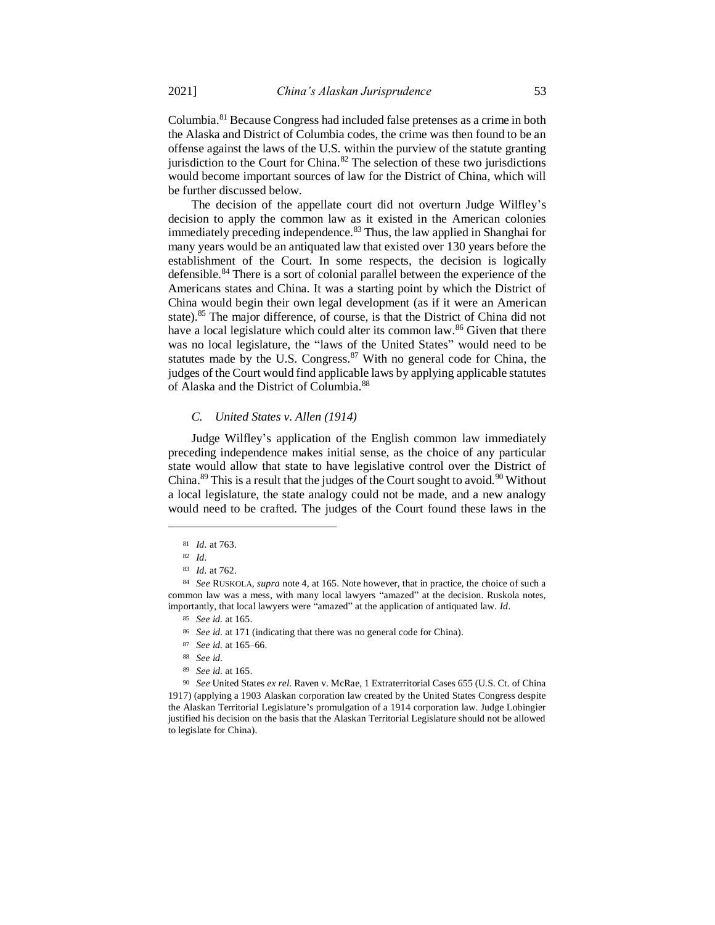Columbia.<sup>81</sup> Because Congress had included false pretenses as a crime in both the Alaska and District of Columbia codes, the crime was then found to be an offense against the laws of the U.S. within the purview of the statute granting jurisdiction to the Court for China. $82$  The selection of these two jurisdictions would become important sources of law for the District of China, which will be further discussed below.

The decision of the appellate court did not overturn Judge Wilfley's decision to apply the common law as it existed in the American colonies immediately preceding independence.<sup>83</sup> Thus, the law applied in Shanghai for many years would be an antiquated law that existed over 130 years before the establishment of the Court. In some respects, the decision is logically defensible.<sup>84</sup> There is a sort of colonial parallel between the experience of the Americans states and China. It was a starting point by which the District of China would begin their own legal development (as if it were an American state).<sup>85</sup> The major difference, of course, is that the District of China did not have a local legislature which could alter its common law.<sup>86</sup> Given that there was no local legislature, the "laws of the United States" would need to be statutes made by the U.S. Congress.<sup>87</sup> With no general code for China, the judges of the Court would find applicable laws by applying applicable statutes of Alaska and the District of Columbia.<sup>88</sup>

### *C. United States v. Allen (1914)*

Judge Wilfley's application of the English common law immediately preceding independence makes initial sense, as the choice of any particular state would allow that state to have legislative control over the District of China.<sup>89</sup> This is a result that the judges of the Court sought to avoid.<sup>90</sup> Without a local legislature, the state analogy could not be made, and a new analogy would need to be crafted. The judges of the Court found these laws in the

 $\overline{\phantom{a}}$ 

<sup>89</sup> *See id.* at 165.

<sup>81</sup> *Id.* at 763.

<sup>82</sup> *Id.*

<sup>83</sup> *Id.* at 762.

<sup>84</sup> *See* RUSKOLA, *supra* note 4, at 165. Note however, that in practice, the choice of such a common law was a mess, with many local lawyers "amazed" at the decision. Ruskola notes, importantly, that local lawyers were "amazed" at the application of antiquated law. *Id.*

<sup>85</sup> *See id.* at 165.

<sup>86</sup> *See id.* at 171 (indicating that there was no general code for China).

<sup>87</sup> *See id.* at 165–66.

<sup>88</sup> *See id.*

<sup>90</sup> *See* United States *ex rel.* Raven v. McRae, 1 Extraterritorial Cases 655 (U.S. Ct. of China 1917) (applying a 1903 Alaskan corporation law created by the United States Congress despite the Alaskan Territorial Legislature's promulgation of a 1914 corporation law. Judge Lobingier justified his decision on the basis that the Alaskan Territorial Legislature should not be allowed to legislate for China).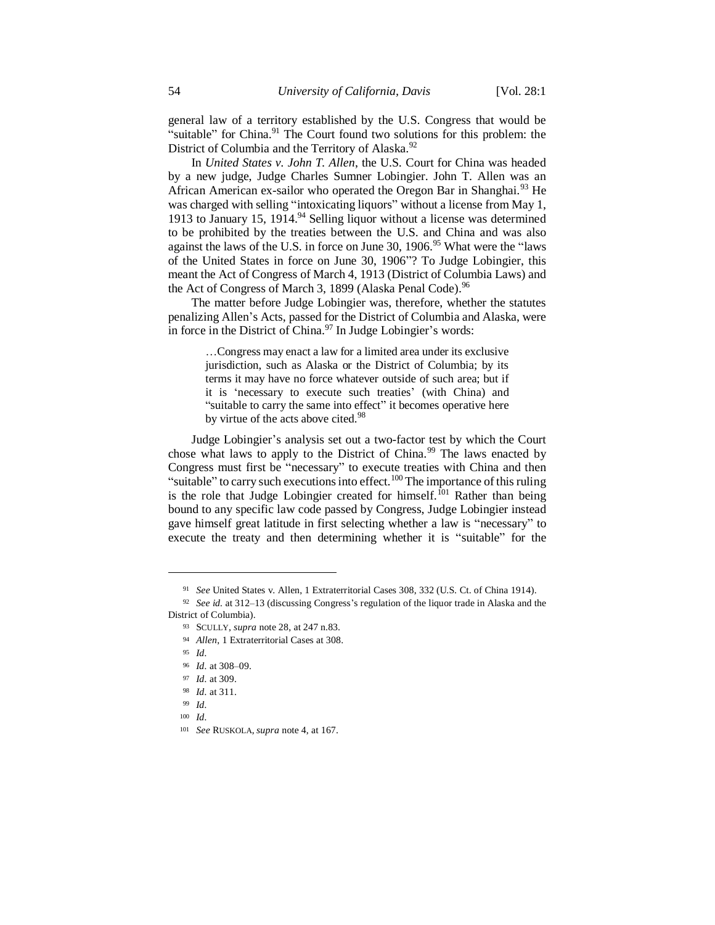general law of a territory established by the U.S. Congress that would be "suitable" for China.<sup>91</sup> The Court found two solutions for this problem: the District of Columbia and the Territory of Alaska.<sup>92</sup>

In *United States v. John T. Allen*, the U.S. Court for China was headed by a new judge, Judge Charles Sumner Lobingier. John T. Allen was an African American ex-sailor who operated the Oregon Bar in Shanghai.<sup>93</sup> He was charged with selling "intoxicating liquors" without a license from May 1, 1913 to January 15, 1914. $94$  Selling liquor without a license was determined to be prohibited by the treaties between the U.S. and China and was also against the laws of the U.S. in force on June 30, 1906.<sup>95</sup> What were the "laws of the United States in force on June 30, 1906"? To Judge Lobingier, this meant the Act of Congress of March 4, 1913 (District of Columbia Laws) and the Act of Congress of March 3, 1899 (Alaska Penal Code).<sup>96</sup>

The matter before Judge Lobingier was, therefore, whether the statutes penalizing Allen's Acts, passed for the District of Columbia and Alaska, were in force in the District of China.<sup>97</sup> In Judge Lobingier's words:

…Congress may enact a law for a limited area under its exclusive jurisdiction, such as Alaska or the District of Columbia; by its terms it may have no force whatever outside of such area; but if it is 'necessary to execute such treaties' (with China) and "suitable to carry the same into effect" it becomes operative here by virtue of the acts above cited.<sup>98</sup>

Judge Lobingier's analysis set out a two-factor test by which the Court chose what laws to apply to the District of China.<sup>99</sup> The laws enacted by Congress must first be "necessary" to execute treaties with China and then "suitable" to carry such executions into effect.<sup>100</sup> The importance of this ruling is the role that Judge Lobingier created for himself.<sup>101</sup> Rather than being bound to any specific law code passed by Congress, Judge Lobingier instead gave himself great latitude in first selecting whether a law is "necessary" to execute the treaty and then determining whether it is "suitable" for the

<sup>91</sup> *See* United States v. Allen, 1 Extraterritorial Cases 308, 332 (U.S. Ct. of China 1914).

<sup>92</sup> *See id.* at 312–13 (discussing Congress's regulation of the liquor trade in Alaska and the District of Columbia).

<sup>93</sup> SCULLY, *supra* note 28, at 247 n.83.

<sup>94</sup> *Allen*, 1 Extraterritorial Cases at 308.

<sup>95</sup> *Id.*

<sup>96</sup> *Id.* at 308–09.

<sup>97</sup> *Id.* at 309.

<sup>98</sup> *Id.* at 311.

<sup>99</sup> *Id.*

<sup>100</sup> *Id.*

<sup>101</sup> *See* RUSKOLA, *supra* note 4, at 167.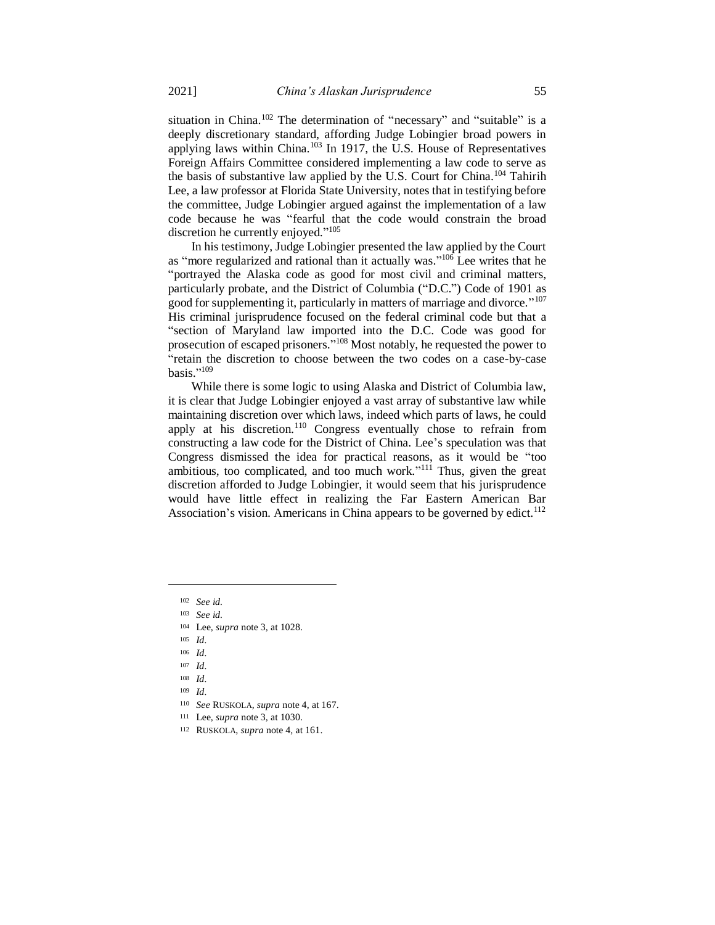situation in China.<sup>102</sup> The determination of "necessary" and "suitable" is a deeply discretionary standard, affording Judge Lobingier broad powers in applying laws within China.<sup>103</sup> In 1917, the U.S. House of Representatives Foreign Affairs Committee considered implementing a law code to serve as the basis of substantive law applied by the U.S. Court for China.<sup>104</sup> Tahirih Lee, a law professor at Florida State University, notes that in testifying before the committee, Judge Lobingier argued against the implementation of a law code because he was "fearful that the code would constrain the broad discretion he currently enjoyed."<sup>105</sup>

In his testimony, Judge Lobingier presented the law applied by the Court as "more regularized and rational than it actually was."<sup>106</sup> Lee writes that he "portrayed the Alaska code as good for most civil and criminal matters, particularly probate, and the District of Columbia ("D.C.") Code of 1901 as good for supplementing it, particularly in matters of marriage and divorce."<sup>107</sup> His criminal jurisprudence focused on the federal criminal code but that a "section of Maryland law imported into the D.C. Code was good for prosecution of escaped prisoners."<sup>108</sup> Most notably, he requested the power to "retain the discretion to choose between the two codes on a case-by-case basis." 109

While there is some logic to using Alaska and District of Columbia law, it is clear that Judge Lobingier enjoyed a vast array of substantive law while maintaining discretion over which laws, indeed which parts of laws, he could apply at his discretion.<sup>110</sup> Congress eventually chose to refrain from constructing a law code for the District of China. Lee's speculation was that Congress dismissed the idea for practical reasons, as it would be "too ambitious, too complicated, and too much work."<sup>111</sup> Thus, given the great discretion afforded to Judge Lobingier, it would seem that his jurisprudence would have little effect in realizing the Far Eastern American Bar Association's vision. Americans in China appears to be governed by edict.<sup>112</sup>

- <sup>110</sup> *See* RUSKOLA, *supra* note 4, at 167.
- <sup>111</sup> Lee, *supra* note 3, at 1030.

<sup>102</sup> *See id.*

<sup>103</sup> *See id.*

<sup>104</sup> Lee, *supra* note 3, at 1028.

<sup>105</sup> *Id.*

<sup>106</sup> *Id.*

<sup>107</sup> *Id.*

<sup>108</sup> *Id.*

<sup>109</sup> *Id.*

<sup>112</sup> RUSKOLA, *supra* note 4, at 161.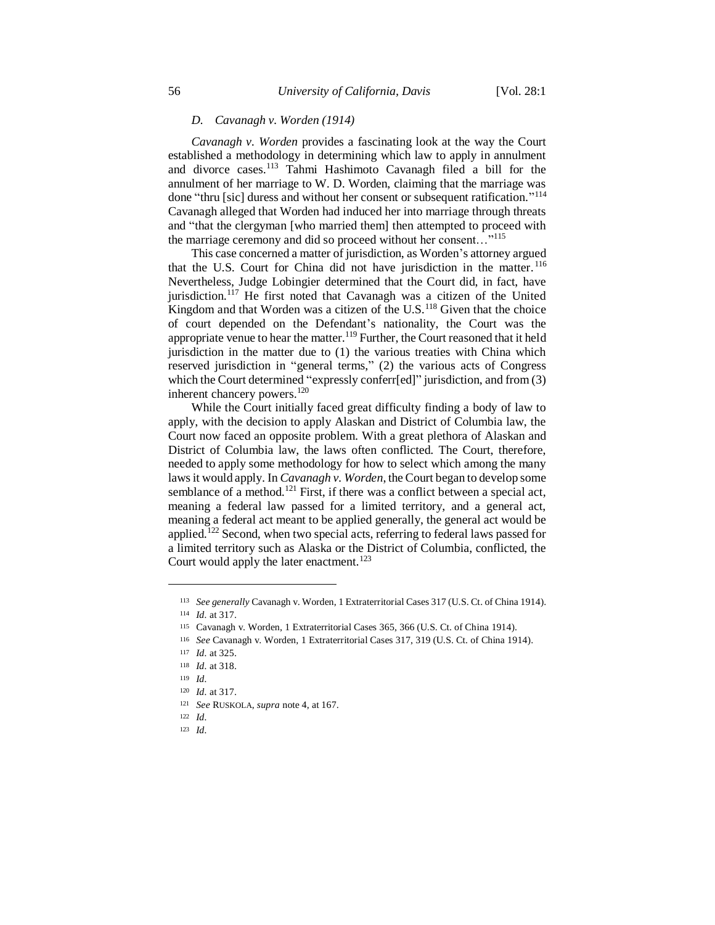### *D. Cavanagh v. Worden (1914)*

*Cavanagh v. Worden* provides a fascinating look at the way the Court established a methodology in determining which law to apply in annulment and divorce cases.<sup>113</sup> Tahmi Hashimoto Cavanagh filed a bill for the annulment of her marriage to W. D. Worden, claiming that the marriage was done "thru [sic] duress and without her consent or subsequent ratification."<sup>114</sup> Cavanagh alleged that Worden had induced her into marriage through threats and "that the clergyman [who married them] then attempted to proceed with the marriage ceremony and did so proceed without her consent..."<sup>115</sup>

This case concerned a matter of jurisdiction, as Worden's attorney argued that the U.S. Court for China did not have jurisdiction in the matter. <sup>116</sup> Nevertheless, Judge Lobingier determined that the Court did, in fact, have jurisdiction.<sup>117</sup> He first noted that Cavanagh was a citizen of the United Kingdom and that Worden was a citizen of the U.S.<sup>118</sup> Given that the choice of court depended on the Defendant's nationality, the Court was the appropriate venue to hear the matter.<sup>119</sup> Further, the Court reasoned that it held jurisdiction in the matter due to (1) the various treaties with China which reserved jurisdiction in "general terms," (2) the various acts of Congress which the Court determined "expressly conferr[ed]" jurisdiction, and from (3) inherent chancery powers.<sup>120</sup>

While the Court initially faced great difficulty finding a body of law to apply, with the decision to apply Alaskan and District of Columbia law, the Court now faced an opposite problem. With a great plethora of Alaskan and District of Columbia law, the laws often conflicted. The Court, therefore, needed to apply some methodology for how to select which among the many laws it would apply. In *Cavanagh v. Worden*, the Court began to develop some semblance of a method.<sup>121</sup> First, if there was a conflict between a special act, meaning a federal law passed for a limited territory, and a general act, meaning a federal act meant to be applied generally, the general act would be applied.<sup>122</sup> Second, when two special acts, referring to federal laws passed for a limited territory such as Alaska or the District of Columbia, conflicted, the Court would apply the later enactment.<sup>123</sup>

 $\overline{\phantom{a}}$ 

<sup>123</sup> *Id.*

<sup>113</sup> *See generally* Cavanagh v. Worden, 1 Extraterritorial Cases 317 (U.S. Ct. of China 1914).

<sup>114</sup> *Id.* at 317.

<sup>115</sup> Cavanagh v. Worden, 1 Extraterritorial Cases 365, 366 (U.S. Ct. of China 1914).

<sup>116</sup> *See* Cavanagh v. Worden, 1 Extraterritorial Cases 317, 319 (U.S. Ct. of China 1914).

<sup>117</sup> *Id.* at 325.

<sup>118</sup> *Id.* at 318.

<sup>119</sup> *Id.*

<sup>120</sup> *Id.* at 317.

<sup>121</sup> *See* RUSKOLA, *supra* note 4, at 167.

<sup>122</sup> *Id.*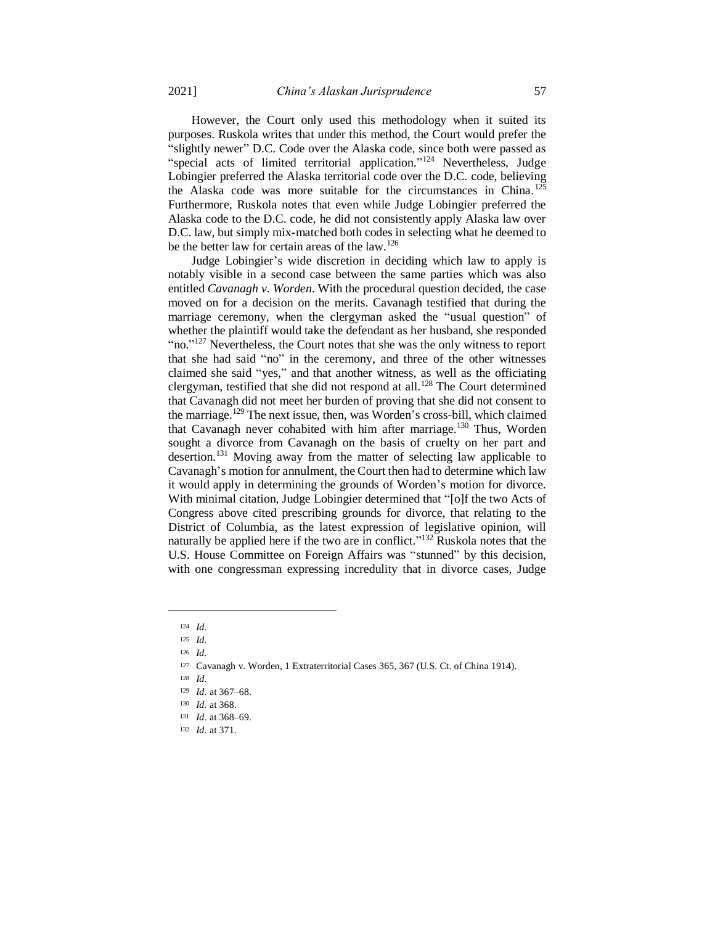However, the Court only used this methodology when it suited its purposes. Ruskola writes that under this method, the Court would prefer the "slightly newer" D.C. Code over the Alaska code, since both were passed as "special acts of limited territorial application."<sup>124</sup> Nevertheless, Judge Lobingier preferred the Alaska territorial code over the D.C. code, believing the Alaska code was more suitable for the circumstances in China.<sup>125</sup> Furthermore, Ruskola notes that even while Judge Lobingier preferred the Alaska code to the D.C. code, he did not consistently apply Alaska law over D.C. law, but simply mix-matched both codes in selecting what he deemed to be the better law for certain areas of the law.<sup>126</sup>

Judge Lobingier's wide discretion in deciding which law to apply is notably visible in a second case between the same parties which was also entitled *Cavanagh v. Worden*. With the procedural question decided, the case moved on for a decision on the merits. Cavanagh testified that during the marriage ceremony, when the clergyman asked the "usual question" of whether the plaintiff would take the defendant as her husband, she responded "no."<sup>127</sup> Nevertheless, the Court notes that she was the only witness to report that she had said "no" in the ceremony, and three of the other witnesses claimed she said "yes," and that another witness, as well as the officiating clergyman, testified that she did not respond at all.<sup>128</sup> The Court determined that Cavanagh did not meet her burden of proving that she did not consent to the marriage.<sup>129</sup> The next issue, then, was Worden's cross-bill, which claimed that Cavanagh never cohabited with him after marriage.<sup>130</sup> Thus, Worden sought a divorce from Cavanagh on the basis of cruelty on her part and desertion.<sup>131</sup> Moving away from the matter of selecting law applicable to Cavanagh's motion for annulment, the Court then had to determine which law it would apply in determining the grounds of Worden's motion for divorce. With minimal citation, Judge Lobingier determined that "[o]f the two Acts of Congress above cited prescribing grounds for divorce, that relating to the District of Columbia, as the latest expression of legislative opinion, will naturally be applied here if the two are in conflict."<sup>132</sup> Ruskola notes that the U.S. House Committee on Foreign Affairs was "stunned" by this decision, with one congressman expressing incredulity that in divorce cases, Judge

<sup>124</sup> *Id.*

<sup>125</sup> *Id.*

<sup>126</sup> *Id.*

<sup>127</sup> Cavanagh v. Worden, 1 Extraterritorial Cases 365, 367 (U.S. Ct. of China 1914).

<sup>128</sup> *Id.*

<sup>129</sup> *Id.* at 367–68.

<sup>130</sup> *Id.* at 368.

<sup>131</sup> *Id.* at 368–69.

<sup>132</sup> *Id.* at 371.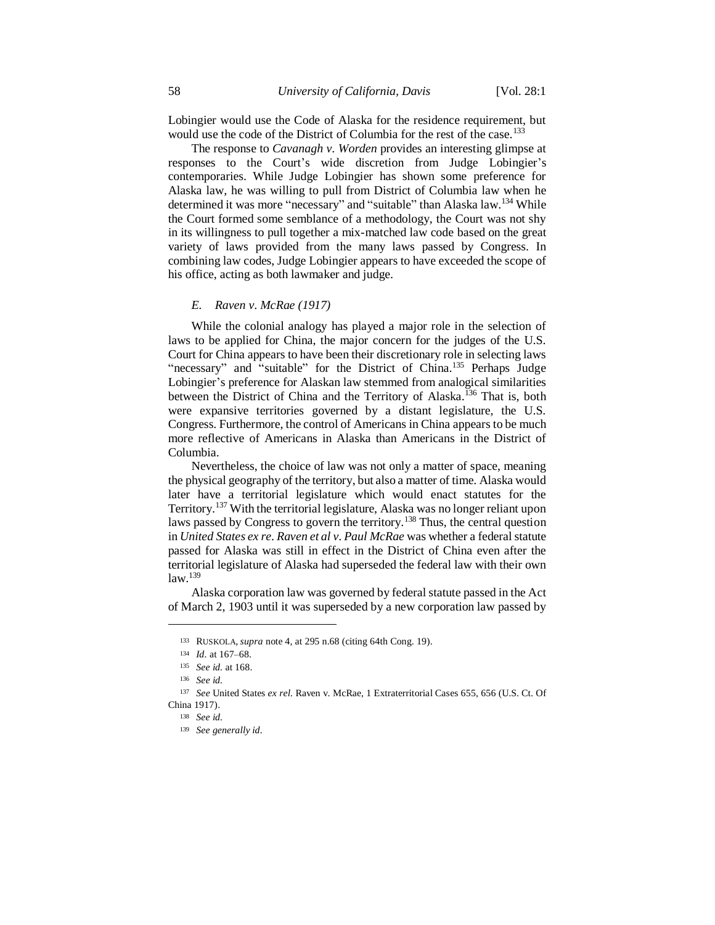Lobingier would use the Code of Alaska for the residence requirement, but would use the code of the District of Columbia for the rest of the case.<sup>133</sup>

The response to *Cavanagh v. Worden* provides an interesting glimpse at responses to the Court's wide discretion from Judge Lobingier's contemporaries. While Judge Lobingier has shown some preference for Alaska law, he was willing to pull from District of Columbia law when he determined it was more "necessary" and "suitable" than Alaska law.<sup>134</sup> While the Court formed some semblance of a methodology, the Court was not shy in its willingness to pull together a mix-matched law code based on the great variety of laws provided from the many laws passed by Congress. In combining law codes, Judge Lobingier appears to have exceeded the scope of his office, acting as both lawmaker and judge.

### *E. Raven v. McRae (1917)*

While the colonial analogy has played a major role in the selection of laws to be applied for China, the major concern for the judges of the U.S. Court for China appears to have been their discretionary role in selecting laws "necessary" and "suitable" for the District of China.<sup>135</sup> Perhaps Judge Lobingier's preference for Alaskan law stemmed from analogical similarities between the District of China and the Territory of Alaska.<sup>136</sup> That is, both were expansive territories governed by a distant legislature, the U.S. Congress. Furthermore, the control of Americans in China appears to be much more reflective of Americans in Alaska than Americans in the District of Columbia.

Nevertheless, the choice of law was not only a matter of space, meaning the physical geography of the territory, but also a matter of time. Alaska would later have a territorial legislature which would enact statutes for the Territory.<sup>137</sup> With the territorial legislature, Alaska was no longer reliant upon laws passed by Congress to govern the territory.<sup>138</sup> Thus, the central question in *United States ex re. Raven et al v. Paul McRae* was whether a federal statute passed for Alaska was still in effect in the District of China even after the territorial legislature of Alaska had superseded the federal law with their own  $law<sup>.139</sup>$ 

Alaska corporation law was governed by federal statute passed in the Act of March 2, 1903 until it was superseded by a new corporation law passed by

<sup>133</sup> RUSKOLA, *supra* note 4, at 295 n.68 (citing 64th Cong. 19).

<sup>134</sup> *Id.* at 167–68.

<sup>135</sup> *See id.* at 168.

<sup>136</sup> *See id.*

<sup>137</sup> *See* United States *ex rel.* Raven v. McRae, 1 Extraterritorial Cases 655, 656 (U.S. Ct. Of China 1917).

<sup>138</sup> *See id.*

<sup>139</sup> *See generally id.*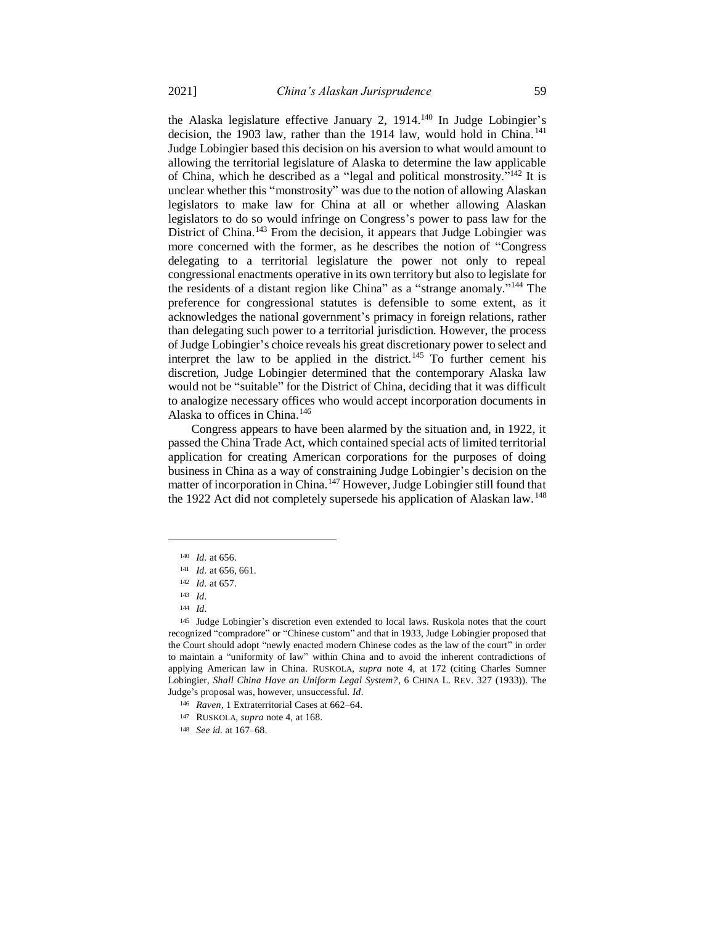the Alaska legislature effective January 2,  $1914$ <sup>140</sup> In Judge Lobingier's decision, the 1903 law, rather than the 1914 law, would hold in China.<sup>141</sup> Judge Lobingier based this decision on his aversion to what would amount to allowing the territorial legislature of Alaska to determine the law applicable of China, which he described as a "legal and political monstrosity."<sup>142</sup> It is unclear whether this "monstrosity" was due to the notion of allowing Alaskan legislators to make law for China at all or whether allowing Alaskan legislators to do so would infringe on Congress's power to pass law for the District of China.<sup>143</sup> From the decision, it appears that Judge Lobingier was more concerned with the former, as he describes the notion of "Congress delegating to a territorial legislature the power not only to repeal congressional enactments operative in its own territory but also to legislate for the residents of a distant region like China" as a "strange anomaly."<sup>144</sup> The preference for congressional statutes is defensible to some extent, as it acknowledges the national government's primacy in foreign relations, rather than delegating such power to a territorial jurisdiction. However, the process of Judge Lobingier's choice reveals his great discretionary power to select and interpret the law to be applied in the district.<sup>145</sup> To further cement his discretion, Judge Lobingier determined that the contemporary Alaska law would not be "suitable" for the District of China, deciding that it was difficult to analogize necessary offices who would accept incorporation documents in Alaska to offices in China.<sup>146</sup>

Congress appears to have been alarmed by the situation and, in 1922, it passed the China Trade Act, which contained special acts of limited territorial application for creating American corporations for the purposes of doing business in China as a way of constraining Judge Lobingier's decision on the matter of incorporation in China.<sup>147</sup> However, Judge Lobingier still found that the 1922 Act did not completely supersede his application of Alaskan law.<sup>148</sup>

<sup>140</sup> *Id.* at 656.

<sup>141</sup> *Id.* at 656, 661.

<sup>142</sup> *Id.* at 657.

<sup>143</sup> *Id.*

<sup>144</sup> *Id.*

<sup>145</sup> Judge Lobingier's discretion even extended to local laws. Ruskola notes that the court recognized "compradore" or "Chinese custom" and that in 1933, Judge Lobingier proposed that the Court should adopt "newly enacted modern Chinese codes as the law of the court" in order to maintain a "uniformity of law" within China and to avoid the inherent contradictions of applying American law in China. RUSKOLA, *supra* note 4, at 172 (citing Charles Sumner Lobingier, *Shall China Have an Uniform Legal System?*, 6 CHINA L. REV. 327 (1933)). The Judge's proposal was, however, unsuccessful. *Id.*

<sup>146</sup> *Raven*, 1 Extraterritorial Cases at 662–64.

<sup>147</sup> RUSKOLA, *supra* note 4, at 168.

<sup>148</sup> *See id.* at 167–68.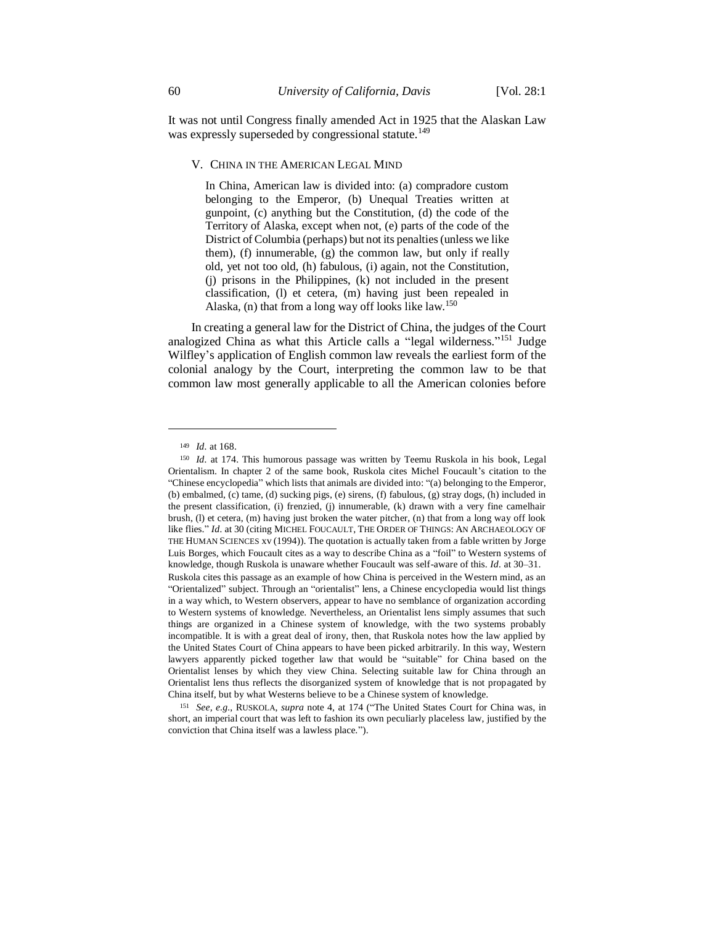It was not until Congress finally amended Act in 1925 that the Alaskan Law was expressly superseded by congressional statute.<sup>149</sup>

### V. CHINA IN THE AMERICAN LEGAL MIND

In China, American law is divided into: (a) compradore custom belonging to the Emperor, (b) Unequal Treaties written at gunpoint, (c) anything but the Constitution, (d) the code of the Territory of Alaska, except when not, (e) parts of the code of the District of Columbia (perhaps) but not its penalties (unless we like them), (f) innumerable, (g) the common law, but only if really old, yet not too old, (h) fabulous, (i) again, not the Constitution, (j) prisons in the Philippines, (k) not included in the present classification, (l) et cetera, (m) having just been repealed in Alaska, (n) that from a long way off looks like law.<sup>150</sup>

In creating a general law for the District of China, the judges of the Court analogized China as what this Article calls a "legal wilderness."<sup>151</sup> Judge Wilfley's application of English common law reveals the earliest form of the colonial analogy by the Court, interpreting the common law to be that common law most generally applicable to all the American colonies before

 $\overline{a}$ 

<sup>149</sup> *Id.* at 168.

<sup>150</sup> *Id.* at 174. This humorous passage was written by Teemu Ruskola in his book, Legal Orientalism. In chapter 2 of the same book, Ruskola cites Michel Foucault's citation to the "Chinese encyclopedia" which lists that animals are divided into: "(a) belonging to the Emperor, (b) embalmed, (c) tame, (d) sucking pigs, (e) sirens, (f) fabulous, (g) stray dogs, (h) included in the present classification, (i) frenzied, (j) innumerable, (k) drawn with a very fine camelhair brush, (l) et cetera, (m) having just broken the water pitcher, (n) that from a long way off look like flies." *Id.* at 30 (citing MICHEL FOUCAULT, THE ORDER OF THINGS: AN ARCHAEOLOGY OF THE HUMAN SCIENCES xv (1994)). The quotation is actually taken from a fable written by Jorge Luis Borges, which Foucault cites as a way to describe China as a "foil" to Western systems of knowledge, though Ruskola is unaware whether Foucault was self-aware of this. *Id.* at 30–31.

Ruskola cites this passage as an example of how China is perceived in the Western mind, as an "Orientalized" subject. Through an "orientalist" lens, a Chinese encyclopedia would list things in a way which, to Western observers, appear to have no semblance of organization according to Western systems of knowledge. Nevertheless, an Orientalist lens simply assumes that such things are organized in a Chinese system of knowledge, with the two systems probably incompatible. It is with a great deal of irony, then, that Ruskola notes how the law applied by the United States Court of China appears to have been picked arbitrarily. In this way, Western lawyers apparently picked together law that would be "suitable" for China based on the Orientalist lenses by which they view China. Selecting suitable law for China through an Orientalist lens thus reflects the disorganized system of knowledge that is not propagated by China itself, but by what Westerns believe to be a Chinese system of knowledge.

<sup>151</sup> *See, e.g.*, RUSKOLA, *supra* note 4, at 174 ("The United States Court for China was, in short, an imperial court that was left to fashion its own peculiarly placeless law, justified by the conviction that China itself was a lawless place.").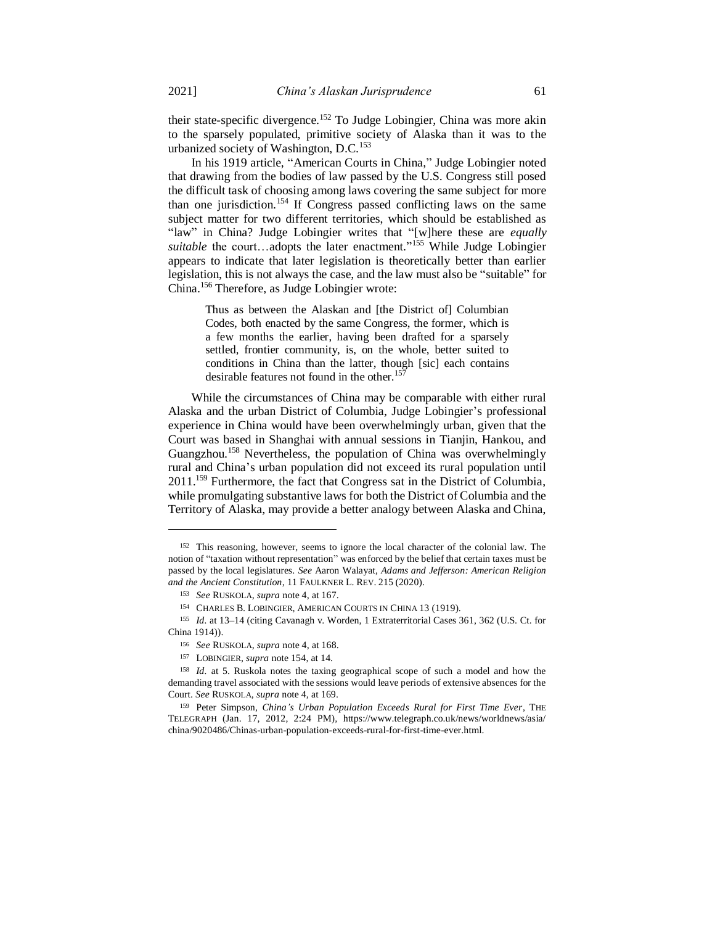their state-specific divergence.<sup>152</sup> To Judge Lobingier, China was more akin to the sparsely populated, primitive society of Alaska than it was to the urbanized society of Washington, D.C.<sup>153</sup>

In his 1919 article, "American Courts in China," Judge Lobingier noted that drawing from the bodies of law passed by the U.S. Congress still posed the difficult task of choosing among laws covering the same subject for more than one jurisdiction.<sup>154</sup> If Congress passed conflicting laws on the same subject matter for two different territories, which should be established as "law" in China? Judge Lobingier writes that "[w]here these are *equally*  suitable the court...adopts the later enactment."<sup>155</sup> While Judge Lobingier appears to indicate that later legislation is theoretically better than earlier legislation, this is not always the case, and the law must also be "suitable" for China.<sup>156</sup> Therefore, as Judge Lobingier wrote:

Thus as between the Alaskan and [the District of] Columbian Codes, both enacted by the same Congress, the former, which is a few months the earlier, having been drafted for a sparsely settled, frontier community, is, on the whole, better suited to conditions in China than the latter, though [sic] each contains desirable features not found in the other.<sup>157</sup>

While the circumstances of China may be comparable with either rural Alaska and the urban District of Columbia, Judge Lobingier's professional experience in China would have been overwhelmingly urban, given that the Court was based in Shanghai with annual sessions in Tianjin, Hankou, and Guangzhou.<sup>158</sup> Nevertheless, the population of China was overwhelmingly rural and China's urban population did not exceed its rural population until 2011.<sup>159</sup> Furthermore, the fact that Congress sat in the District of Columbia, while promulgating substantive laws for both the District of Columbia and the Territory of Alaska, may provide a better analogy between Alaska and China,

<sup>152</sup> This reasoning, however, seems to ignore the local character of the colonial law. The notion of "taxation without representation" was enforced by the belief that certain taxes must be passed by the local legislatures. *See* Aaron Walayat, *Adams and Jefferson: American Religion and the Ancient Constitution*, 11 FAULKNER L. REV. 215 (2020).

<sup>153</sup> *See* RUSKOLA, *supra* note 4, at 167.

<sup>154</sup> CHARLES B. LOBINGIER, AMERICAN COURTS IN CHINA 13 (1919).

<sup>155</sup> *Id.* at 13–14 (citing Cavanagh v. Worden, 1 Extraterritorial Cases 361, 362 (U.S. Ct. for China 1914)).

<sup>156</sup> *See* RUSKOLA, *supra* note 4, at 168.

<sup>157</sup> LOBINGIER, *supra* note 154, at 14.

<sup>158</sup> *Id.* at 5. Ruskola notes the taxing geographical scope of such a model and how the demanding travel associated with the sessions would leave periods of extensive absences for the Court. *See* RUSKOLA, *supra* note 4, at 169.

<sup>159</sup> Peter Simpson, *China's Urban Population Exceeds Rural for First Time Ever*, THE TELEGRAPH (Jan. 17, 2012, 2:24 PM), https://www.telegraph.co.uk/news/worldnews/asia/ china/9020486/Chinas-urban-population-exceeds-rural-for-first-time-ever.html.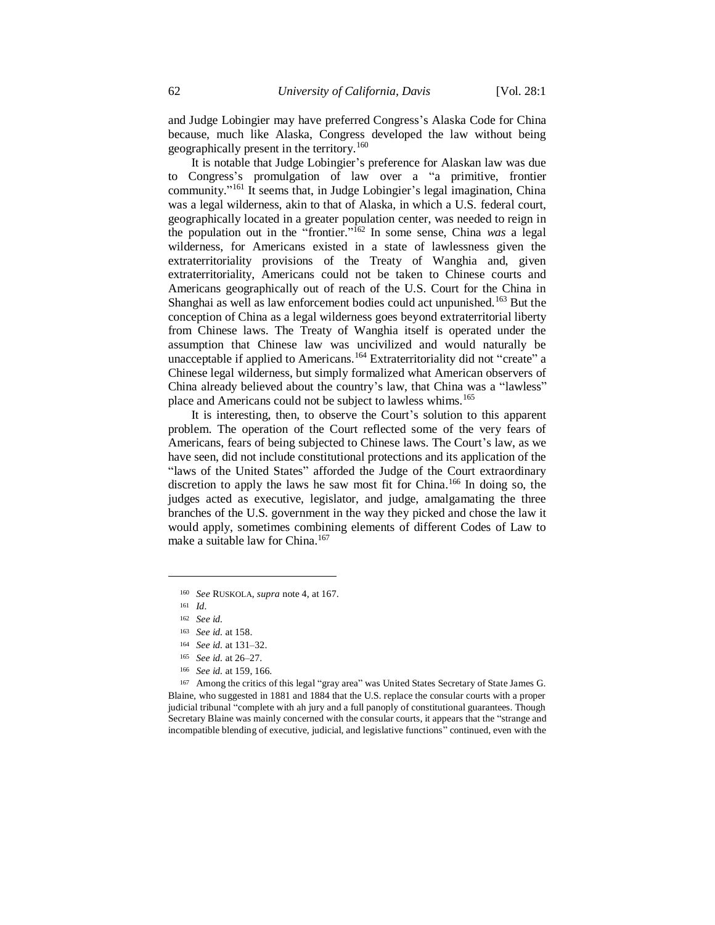and Judge Lobingier may have preferred Congress's Alaska Code for China because, much like Alaska, Congress developed the law without being geographically present in the territory.<sup>160</sup>

It is notable that Judge Lobingier's preference for Alaskan law was due to Congress's promulgation of law over a "a primitive, frontier community."<sup>161</sup> It seems that, in Judge Lobingier's legal imagination, China was a legal wilderness, akin to that of Alaska, in which a U.S. federal court, geographically located in a greater population center, was needed to reign in the population out in the "frontier." <sup>162</sup> In some sense, China *was* a legal wilderness, for Americans existed in a state of lawlessness given the extraterritoriality provisions of the Treaty of Wanghia and, given extraterritoriality, Americans could not be taken to Chinese courts and Americans geographically out of reach of the U.S. Court for the China in Shanghai as well as law enforcement bodies could act unpunished.<sup>163</sup> But the conception of China as a legal wilderness goes beyond extraterritorial liberty from Chinese laws. The Treaty of Wanghia itself is operated under the assumption that Chinese law was uncivilized and would naturally be unacceptable if applied to Americans.<sup>164</sup> Extraterritoriality did not "create" a Chinese legal wilderness, but simply formalized what American observers of China already believed about the country's law, that China was a "lawless" place and Americans could not be subject to lawless whims.<sup>165</sup>

It is interesting, then, to observe the Court's solution to this apparent problem. The operation of the Court reflected some of the very fears of Americans, fears of being subjected to Chinese laws. The Court's law, as we have seen, did not include constitutional protections and its application of the "laws of the United States" afforded the Judge of the Court extraordinary discretion to apply the laws he saw most fit for China.<sup>166</sup> In doing so, the judges acted as executive, legislator, and judge, amalgamating the three branches of the U.S. government in the way they picked and chose the law it would apply, sometimes combining elements of different Codes of Law to make a suitable law for China.<sup>167</sup>

 $\overline{\phantom{a}}$ 

- <sup>165</sup> *See id.* at 26–27.
- <sup>166</sup> *See id.* at 159, 166.

<sup>167</sup> Among the critics of this legal "gray area" was United States Secretary of State James G. Blaine, who suggested in 1881 and 1884 that the U.S. replace the consular courts with a proper judicial tribunal "complete with ah jury and a full panoply of constitutional guarantees. Though Secretary Blaine was mainly concerned with the consular courts, it appears that the "strange and incompatible blending of executive, judicial, and legislative functions" continued, even with the

<sup>160</sup> *See* RUSKOLA, *supra* note 4, at 167.

<sup>161</sup> *Id.*

<sup>162</sup> *See id.*

<sup>163</sup> *See id.* at 158.

<sup>164</sup> *See id.* at 131–32.